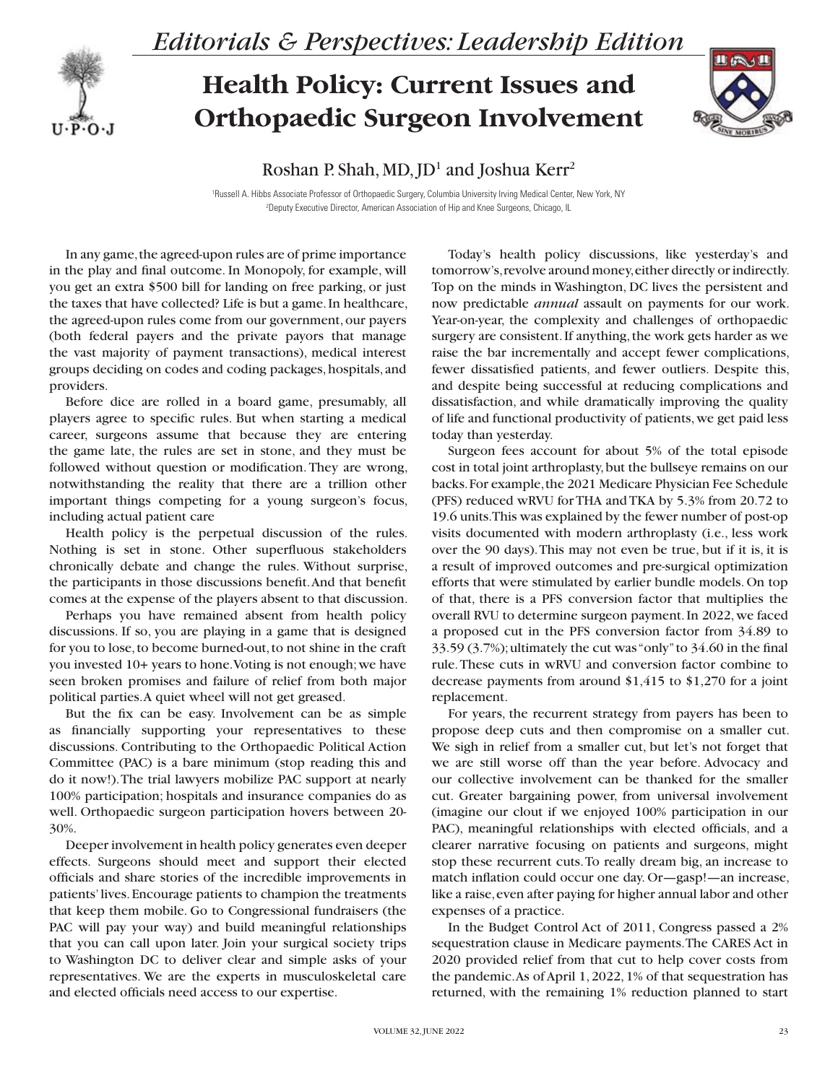

*Editorials & Perspectives: Leadership Edition*

## **Health Policy: Current Issues and Orthopaedic Surgeon Involvement**



Roshan P. Shah, MD, JD<sup>1</sup> and Joshua Kerr<sup>2</sup>

1 Russell A. Hibbs Associate Professor of Orthopaedic Surgery, Columbia University Irving Medical Center, New York, NY 2 Deputy Executive Director, American Association of Hip and Knee Surgeons, Chicago, IL

In any game, the agreed-upon rules are of prime importance in the play and final outcome. In Monopoly, for example, will you get an extra \$500 bill for landing on free parking, or just the taxes that have collected? Life is but a game. In healthcare, the agreed-upon rules come from our government, our payers (both federal payers and the private payors that manage the vast majority of payment transactions), medical interest groups deciding on codes and coding packages, hospitals, and providers.

Before dice are rolled in a board game, presumably, all players agree to specific rules. But when starting a medical career, surgeons assume that because they are entering the game late, the rules are set in stone, and they must be followed without question or modification. They are wrong, notwithstanding the reality that there are a trillion other important things competing for a young surgeon's focus, including actual patient care

Health policy is the perpetual discussion of the rules. Nothing is set in stone. Other superfluous stakeholders chronically debate and change the rules. Without surprise, the participants in those discussions benefit. And that benefit comes at the expense of the players absent to that discussion.

Perhaps you have remained absent from health policy discussions. If so, you are playing in a game that is designed for you to lose, to become burned-out, to not shine in the craft you invested 10+ years to hone. Voting is not enough; we have seen broken promises and failure of relief from both major political parties. A quiet wheel will not get greased.

But the fix can be easy. Involvement can be as simple as financially supporting your representatives to these discussions. Contributing to the Orthopaedic Political Action Committee (PAC) is a bare minimum (stop reading this and do it now!). The trial lawyers mobilize PAC support at nearly 100% participation; hospitals and insurance companies do as well. Orthopaedic surgeon participation hovers between 20- 30%.

Deeper involvement in health policy generates even deeper effects. Surgeons should meet and support their elected officials and share stories of the incredible improvements in patients' lives. Encourage patients to champion the treatments that keep them mobile. Go to Congressional fundraisers (the PAC will pay your way) and build meaningful relationships that you can call upon later. Join your surgical society trips to Washington DC to deliver clear and simple asks of your representatives. We are the experts in musculoskeletal care and elected officials need access to our expertise.

Today's health policy discussions, like yesterday's and tomorrow's, revolve around money, either directly or indirectly. Top on the minds in Washington, DC lives the persistent and now predictable *annual* assault on payments for our work. Year-on-year, the complexity and challenges of orthopaedic surgery are consistent. If anything, the work gets harder as we raise the bar incrementally and accept fewer complications, fewer dissatisfied patients, and fewer outliers. Despite this, and despite being successful at reducing complications and dissatisfaction, and while dramatically improving the quality of life and functional productivity of patients, we get paid less today than yesterday.

Surgeon fees account for about 5% of the total episode cost in total joint arthroplasty, but the bullseye remains on our backs. For example, the 2021 Medicare Physician Fee Schedule (PFS) reduced wRVU for THA and TKA by 5.3% from 20.72 to 19.6 units. This was explained by the fewer number of post-op visits documented with modern arthroplasty (i.e., less work over the 90 days). This may not even be true, but if it is, it is a result of improved outcomes and pre-surgical optimization efforts that were stimulated by earlier bundle models. On top of that, there is a PFS conversion factor that multiplies the overall RVU to determine surgeon payment. In 2022, we faced a proposed cut in the PFS conversion factor from 34.89 to 33.59 (3.7%); ultimately the cut was "only" to 34.60 in the final rule. These cuts in wRVU and conversion factor combine to decrease payments from around \$1,415 to \$1,270 for a joint replacement.

For years, the recurrent strategy from payers has been to propose deep cuts and then compromise on a smaller cut. We sigh in relief from a smaller cut, but let's not forget that we are still worse off than the year before. Advocacy and our collective involvement can be thanked for the smaller cut. Greater bargaining power, from universal involvement (imagine our clout if we enjoyed 100% participation in our PAC), meaningful relationships with elected officials, and a clearer narrative focusing on patients and surgeons, might stop these recurrent cuts. To really dream big, an increase to match inflation could occur one day. Or—gasp!—an increase, like a raise, even after paying for higher annual labor and other expenses of a practice.

In the Budget Control Act of 2011, Congress passed a 2% sequestration clause in Medicare payments. The CARES Act in 2020 provided relief from that cut to help cover costs from the pandemic. As of April 1, 2022, 1% of that sequestration has returned, with the remaining 1% reduction planned to start